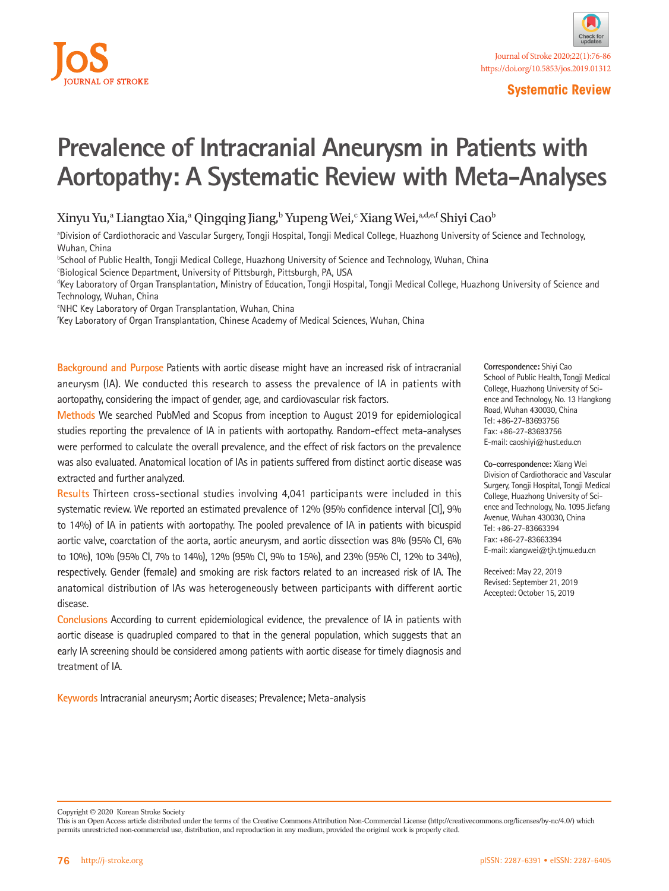

# **Prevalence of Intracranial Aneurysm in Patients with Aortopathy: A Systematic Review with Meta-Analyses**

Xinyu Yu,ª Liangtao Xia,ª Qingqing Jiang,ʰ Yupeng Wei,ʿ Xiang Wei,ª،<sup>d,e,f</sup> Shiyi Caoʰ

a Division of Cardiothoracic and Vascular Surgery, Tongji Hospital, Tongji Medical College, Huazhong University of Science and Technology, Wuhan, China

b School of Public Health, Tongji Medical College, Huazhong University of Science and Technology, Wuhan, China

**Biological Science Department, University of Pittsburgh, Pittsburgh, PA, USA** 

d Key Laboratory of Organ Transplantation, Ministry of Education, Tongji Hospital, Tongji Medical College, Huazhong University of Science and Technology, Wuhan, China

e NHC Key Laboratory of Organ Transplantation, Wuhan, China

f Key Laboratory of Organ Transplantation, Chinese Academy of Medical Sciences, Wuhan, China

**Background and Purpose** Patients with aortic disease might have an increased risk of intracranial aneurysm (IA). We conducted this research to assess the prevalence of IA in patients with aortopathy, considering the impact of gender, age, and cardiovascular risk factors.

**Methods** We searched PubMed and Scopus from inception to August 2019 for epidemiological studies reporting the prevalence of IA in patients with aortopathy. Random-effect meta-analyses were performed to calculate the overall prevalence, and the effect of risk factors on the prevalence was also evaluated. Anatomical location of IAs in patients suffered from distinct aortic disease was extracted and further analyzed.

**Results** Thirteen cross-sectional studies involving 4,041 participants were included in this systematic review. We reported an estimated prevalence of 12% (95% confidence interval [CI], 9% to 14%) of IA in patients with aortopathy. The pooled prevalence of IA in patients with bicuspid aortic valve, coarctation of the aorta, aortic aneurysm, and aortic dissection was 8% (95% CI, 6% to 10%), 10% (95% CI, 7% to 14%), 12% (95% CI, 9% to 15%), and 23% (95% CI, 12% to 34%), respectively. Gender (female) and smoking are risk factors related to an increased risk of IA. The anatomical distribution of IAs was heterogeneously between participants with different aortic disease.

**Conclusions** According to current epidemiological evidence, the prevalence of IA in patients with aortic disease is quadrupled compared to that in the general population, which suggests that an early IA screening should be considered among patients with aortic disease for timely diagnosis and treatment of IA.

**Keywords** Intracranial aneurysm; Aortic diseases; Prevalence; Meta-analysis

**Correspondence:** Shiyi Cao School of Public Health, Tongji Medical College, Huazhong University of Science and Technology, No. 13 Hangkong Road, Wuhan 430030, China Tel: +86-27-83693756 Fax: +86-27-83693756 E-mail: caoshiyi@hust.edu.cn

**Co-correspondence:** Xiang Wei Division of Cardiothoracic and Vascular Surgery, Tongji Hospital, Tongji Medical College, Huazhong University of Science and Technology, No. 1095 Jiefang Avenue, Wuhan 430030, China Tel: +86-27-83663394 Fax: +86-27-83663394 E-mail: xiangwei@tjh.tjmu.edu.cn

Received: May 22, 2019 Revised: September 21, 2019 Accepted: October 15, 2019

Copyright © 2020 Korean Stroke Society

This is an Open Access article distributed under the terms of the Creative Commons Attribution Non-Commercial License (http://creativecommons.org/licenses/by-nc/4.0/) which permits unrestricted non-commercial use, distribution, and reproduction in any medium, provided the original work is properly cited.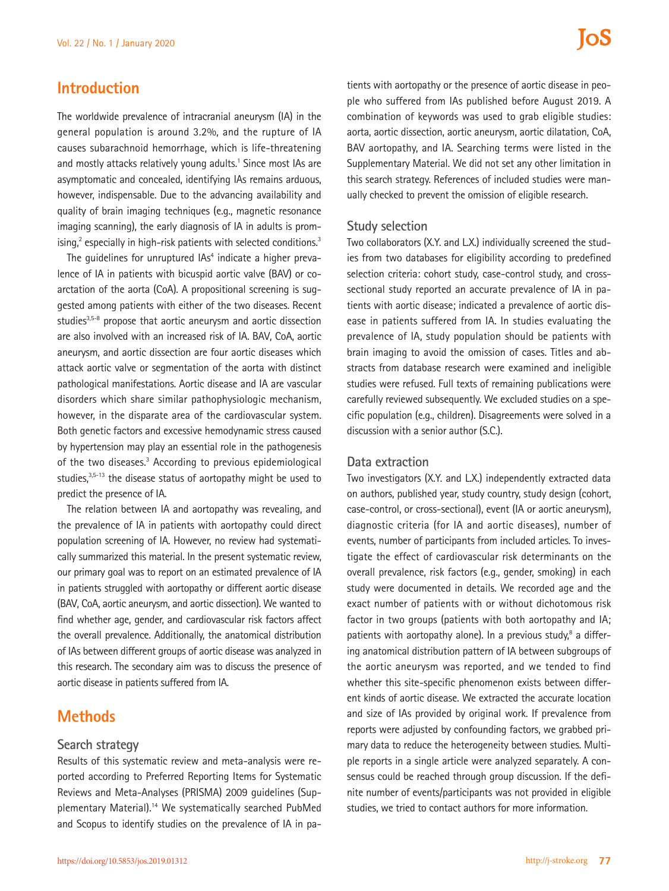## **Introduction**

The worldwide prevalence of intracranial aneurysm (IA) in the general population is around 3.2%, and the rupture of IA causes subarachnoid hemorrhage, which is life-threatening and mostly attacks relatively young adults.<sup>1</sup> Since most IAs are asymptomatic and concealed, identifying IAs remains arduous, however, indispensable. Due to the advancing availability and quality of brain imaging techniques (e.g., magnetic resonance imaging scanning), the early diagnosis of IA in adults is promising,<sup>2</sup> especially in high-risk patients with selected conditions.<sup>3</sup>

The guidelines for unruptured IAs<sup>4</sup> indicate a higher prevalence of IA in patients with bicuspid aortic valve (BAV) or coarctation of the aorta (CoA). A propositional screening is suggested among patients with either of the two diseases. Recent studies<sup>3,5-8</sup> propose that aortic aneurysm and aortic dissection are also involved with an increased risk of IA. BAV, CoA, aortic aneurysm, and aortic dissection are four aortic diseases which attack aortic valve or segmentation of the aorta with distinct pathological manifestations. Aortic disease and IA are vascular disorders which share similar pathophysiologic mechanism, however, in the disparate area of the cardiovascular system. Both genetic factors and excessive hemodynamic stress caused by hypertension may play an essential role in the pathogenesis of the two diseases.<sup>3</sup> According to previous epidemiological studies, $3,5-13$  the disease status of aortopathy might be used to predict the presence of IA.

The relation between IA and aortopathy was revealing, and the prevalence of IA in patients with aortopathy could direct population screening of IA. However, no review had systematically summarized this material. In the present systematic review, our primary goal was to report on an estimated prevalence of IA in patients struggled with aortopathy or different aortic disease (BAV, CoA, aortic aneurysm, and aortic dissection). We wanted to find whether age, gender, and cardiovascular risk factors affect the overall prevalence. Additionally, the anatomical distribution of IAs between different groups of aortic disease was analyzed in this research. The secondary aim was to discuss the presence of aortic disease in patients suffered from IA.

## **Methods**

#### **Search strategy**

Results of this systematic review and meta-analysis were reported according to Preferred Reporting Items for Systematic Reviews and Meta-Analyses (PRISMA) 2009 guidelines (Supplementary Material).14 We systematically searched PubMed and Scopus to identify studies on the prevalence of IA in pa-

tients with aortopathy or the presence of aortic disease in people who suffered from IAs published before August 2019. A combination of keywords was used to grab eligible studies: aorta, aortic dissection, aortic aneurysm, aortic dilatation, CoA, BAV aortopathy, and IA. Searching terms were listed in the Supplementary Material. We did not set any other limitation in this search strategy. References of included studies were manually checked to prevent the omission of eligible research.

#### **Study selection**

Two collaborators (X.Y. and L.X.) individually screened the studies from two databases for eligibility according to predefined selection criteria: cohort study, case-control study, and crosssectional study reported an accurate prevalence of IA in patients with aortic disease; indicated a prevalence of aortic disease in patients suffered from IA. In studies evaluating the prevalence of IA, study population should be patients with brain imaging to avoid the omission of cases. Titles and abstracts from database research were examined and ineligible studies were refused. Full texts of remaining publications were carefully reviewed subsequently. We excluded studies on a specific population (e.g., children). Disagreements were solved in a discussion with a senior author (S.C.).

#### **Data extraction**

Two investigators (X.Y. and L.X.) independently extracted data on authors, published year, study country, study design (cohort, case-control, or cross-sectional), event (IA or aortic aneurysm), diagnostic criteria (for IA and aortic diseases), number of events, number of participants from included articles. To investigate the effect of cardiovascular risk determinants on the overall prevalence, risk factors (e.g., gender, smoking) in each study were documented in details. We recorded age and the exact number of patients with or without dichotomous risk factor in two groups (patients with both aortopathy and IA; patients with aortopathy alone). In a previous study,<sup>8</sup> a differing anatomical distribution pattern of IA between subgroups of the aortic aneurysm was reported, and we tended to find whether this site-specific phenomenon exists between different kinds of aortic disease. We extracted the accurate location and size of IAs provided by original work. If prevalence from reports were adjusted by confounding factors, we grabbed primary data to reduce the heterogeneity between studies. Multiple reports in a single article were analyzed separately. A consensus could be reached through group discussion. If the definite number of events/participants was not provided in eligible studies, we tried to contact authors for more information.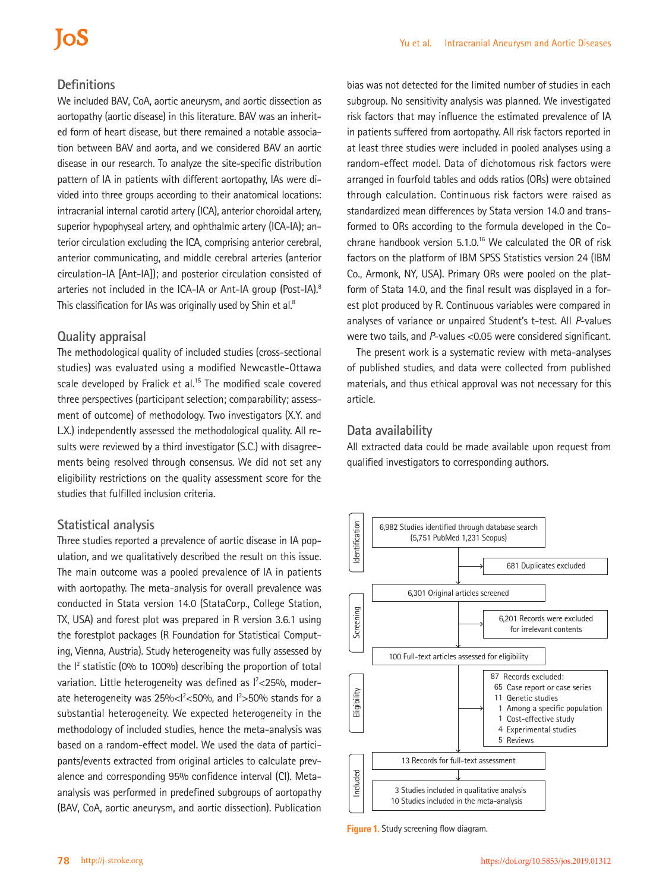## **IOS**

### **Definitions**

We included BAV, CoA, aortic aneurysm, and aortic dissection as aortopathy (aortic disease) in this literature. BAV was an inherited form of heart disease, but there remained a notable association between BAV and aorta, and we considered BAV an aortic disease in our research. To analyze the site-specific distribution pattern of IA in patients with different aortopathy, IAs were divided into three groups according to their anatomical locations: intracranial internal carotid artery (ICA), anterior choroidal artery, superior hypophyseal artery, and ophthalmic artery (ICA-IA); anterior circulation excluding the ICA, comprising anterior cerebral, anterior communicating, and middle cerebral arteries (anterior circulation-IA [Ant-IA]); and posterior circulation consisted of arteries not included in the ICA-IA or Ant-IA group (Post-IA).<sup>8</sup> This classification for IAs was originally used by Shin et al.<sup>8</sup>

#### **Quality appraisal**

The methodological quality of included studies (cross-sectional studies) was evaluated using a modified Newcastle-Ottawa scale developed by Fralick et al.<sup>15</sup> The modified scale covered three perspectives (participant selection; comparability; assessment of outcome) of methodology. Two investigators (X.Y. and L.X.) independently assessed the methodological quality. All results were reviewed by a third investigator (S.C.) with disagreements being resolved through consensus. We did not set any eligibility restrictions on the quality assessment score for the studies that fulfilled inclusion criteria.

#### **Statistical analysis**

Three studies reported a prevalence of aortic disease in IA population, and we qualitatively described the result on this issue. The main outcome was a pooled prevalence of IA in patients with aortopathy. The meta-analysis for overall prevalence was conducted in Stata version 14.0 (StataCorp., College Station, TX, USA) and forest plot was prepared in R version 3.6.1 using the forestplot packages (R Foundation for Statistical Computing, Vienna, Austria). Study heterogeneity was fully assessed by the  $I<sup>2</sup>$  statistic (0% to 100%) describing the proportion of total variation. Little heterogeneity was defined as  $l<25\%$ , moderate heterogeneity was  $25\% < 1250\%$ , and  $12$ >50% stands for a substantial heterogeneity. We expected heterogeneity in the methodology of included studies, hence the meta-analysis was based on a random-effect model. We used the data of participants/events extracted from original articles to calculate prevalence and corresponding 95% confidence interval (CI). Metaanalysis was performed in predefined subgroups of aortopathy (BAV, CoA, aortic aneurysm, and aortic dissection). Publication

bias was not detected for the limited number of studies in each subgroup. No sensitivity analysis was planned. We investigated risk factors that may influence the estimated prevalence of IA in patients suffered from aortopathy. All risk factors reported in at least three studies were included in pooled analyses using a random-effect model. Data of dichotomous risk factors were arranged in fourfold tables and odds ratios (ORs) were obtained through calculation. Continuous risk factors were raised as standardized mean differences by Stata version 14.0 and transformed to ORs according to the formula developed in the Cochrane handbook version  $5.1.0$ .<sup>16</sup> We calculated the OR of risk factors on the platform of IBM SPSS Statistics version 24 (IBM Co., Armonk, NY, USA). Primary ORs were pooled on the platform of Stata 14.0, and the final result was displayed in a forest plot produced by R. Continuous variables were compared in analyses of variance or unpaired Student's t-test. All *P*-values were two tails, and *P*-values <0.05 were considered significant.

The present work is a systematic review with meta-analyses of published studies, and data were collected from published materials, and thus ethical approval was not necessary for this article.

### **Data availability**

All extracted data could be made available upon request from qualified investigators to corresponding authors.

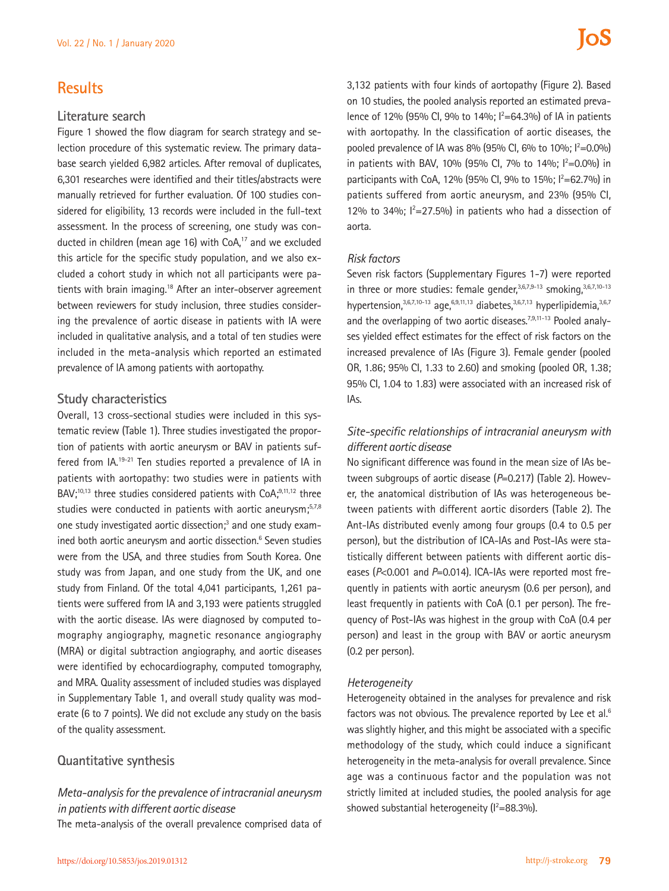## **Results**

#### **Literature search**

Figure 1 showed the flow diagram for search strategy and selection procedure of this systematic review. The primary database search yielded 6,982 articles. After removal of duplicates, 6,301 researches were identified and their titles/abstracts were manually retrieved for further evaluation. Of 100 studies considered for eligibility, 13 records were included in the full-text assessment. In the process of screening, one study was conducted in children (mean age 16) with CoA.<sup>17</sup> and we excluded this article for the specific study population, and we also excluded a cohort study in which not all participants were patients with brain imaging.<sup>18</sup> After an inter-observer agreement between reviewers for study inclusion, three studies considering the prevalence of aortic disease in patients with IA were included in qualitative analysis, and a total of ten studies were included in the meta-analysis which reported an estimated prevalence of IA among patients with aortopathy.

#### **Study characteristics**

Overall, 13 cross-sectional studies were included in this systematic review (Table 1). Three studies investigated the proportion of patients with aortic aneurysm or BAV in patients suffered from IA.19-21 Ten studies reported a prevalence of IA in patients with aortopathy: two studies were in patients with  $BAV<sub>1</sub><sup>10,13</sup>$  three studies considered patients with CoA $<sub>1</sub><sup>9,11,12</sup>$  three</sub> studies were conducted in patients with aortic aneurysm;<sup>5,7,8</sup> one study investigated aortic dissection;<sup>3</sup> and one study examined both aortic aneurysm and aortic dissection.<sup>6</sup> Seven studies were from the USA, and three studies from South Korea. One study was from Japan, and one study from the UK, and one study from Finland. Of the total 4,041 participants, 1,261 patients were suffered from IA and 3,193 were patients struggled with the aortic disease. IAs were diagnosed by computed tomography angiography, magnetic resonance angiography (MRA) or digital subtraction angiography, and aortic diseases were identified by echocardiography, computed tomography, and MRA. Quality assessment of included studies was displayed in Supplementary Table 1, and overall study quality was moderate (6 to 7 points). We did not exclude any study on the basis of the quality assessment.

#### **Quantitative synthesis**

### *Meta-analysis for the prevalence of intracranial aneurysm in patients with different aortic disease*

The meta-analysis of the overall prevalence comprised data of

3,132 patients with four kinds of aortopathy (Figure 2). Based on 10 studies, the pooled analysis reported an estimated prevalence of 12% (95% Cl, 9% to 14%;  $l^2$ =64.3%) of lA in patients with aortopathy. In the classification of aortic diseases, the pooled prevalence of IA was 8% (95% Cl, 6% to 10%;  $1^2$ =0.0%) in patients with BAV, 10% (95% Cl, 7% to 14%;  $l^2=0.0\%$ ) in participants with CoA, 12% (95% Cl, 9% to 15%;  $l^2 = 62.7$ %) in patients suffered from aortic aneurysm, and 23% (95% CI, 12% to 34%;  $1^2$ =27.5%) in patients who had a dissection of aorta.

#### *Risk factors*

Seven risk factors (Supplementary Figures 1-7) were reported in three or more studies: female gender,<sup>3,6,7,9-13</sup> smoking,<sup>3,6,7,10-13</sup> hypertension, $3,6,7,10-13$  age, $6,9,11,13$  diabetes, $3,6,7,13$  hyperlipidemia, $3,6,7$ and the overlapping of two aortic diseases.<sup>7,9,11-13</sup> Pooled analyses yielded effect estimates for the effect of risk factors on the increased prevalence of IAs (Figure 3). Female gender (pooled OR, 1.86; 95% CI, 1.33 to 2.60) and smoking (pooled OR, 1.38; 95% CI, 1.04 to 1.83) were associated with an increased risk of IAs.

#### *Site-specific relationships of intracranial aneurysm with different aortic disease*

No significant difference was found in the mean size of IAs between subgroups of aortic disease (*P*=0.217) (Table 2). However, the anatomical distribution of IAs was heterogeneous between patients with different aortic disorders (Table 2). The Ant-IAs distributed evenly among four groups (0.4 to 0.5 per person), but the distribution of ICA-IAs and Post-IAs were statistically different between patients with different aortic diseases (*P*<0.001 and *P*=0.014). ICA-IAs were reported most frequently in patients with aortic aneurysm (0.6 per person), and least frequently in patients with CoA (0.1 per person). The frequency of Post-IAs was highest in the group with CoA (0.4 per person) and least in the group with BAV or aortic aneurysm (0.2 per person).

#### *Heterogeneity*

Heterogeneity obtained in the analyses for prevalence and risk factors was not obvious. The prevalence reported by Lee et al.<sup>6</sup> was slightly higher, and this might be associated with a specific methodology of the study, which could induce a significant heterogeneity in the meta-analysis for overall prevalence. Since age was a continuous factor and the population was not strictly limited at included studies, the pooled analysis for age showed substantial heterogeneity ( $I^2 = 88.3\%$ ).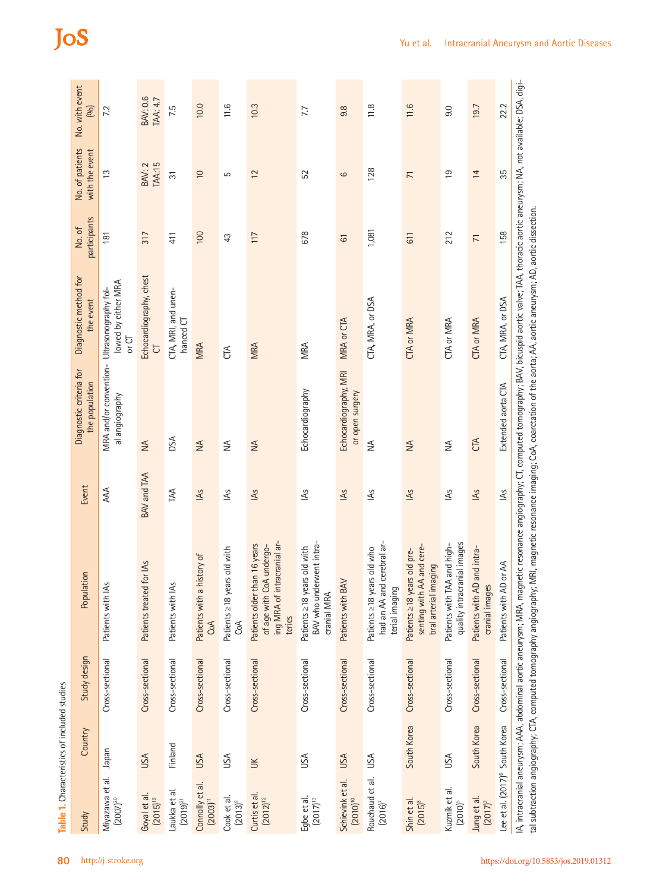| Study                                      | Country     | Study design    | Population                                                                                                                                                                                                                                  | Event       | Diagnostic criteria for<br>the population                     | Diagnostic method for<br>the event        | participants<br>No. of | No. of patients<br>with the event | No. with event<br>(90)      |
|--------------------------------------------|-------------|-----------------|---------------------------------------------------------------------------------------------------------------------------------------------------------------------------------------------------------------------------------------------|-------------|---------------------------------------------------------------|-------------------------------------------|------------------------|-----------------------------------|-----------------------------|
| Miyazawa et al.<br>$(2007)^{20}$           | napan       | Cross-sectional | Patients with IAs                                                                                                                                                                                                                           | AAA         | MRA and/or convention- Ultrasonography fol-<br>al angiography | lowed by either MRA<br>or CT              | 181                    | $\frac{3}{2}$                     | 7.2                         |
| Goyal et al.<br>$(2015)^{19}$              | USA         | Cross-sectional | for IAs<br>Patients treated                                                                                                                                                                                                                 | BAV and TAA | $\leq$                                                        | Echocardiography, chest<br>$\overline{C}$ | 317                    | <b>TAA:15</b><br><b>BAV: 2</b>    | <b>BAV: 0.6</b><br>TAA: 4.7 |
| Laukka et al.<br>$(2019)^{21}$             | Finland     | Cross-sectional | Patients with IAs                                                                                                                                                                                                                           | TAA         | DSA                                                           | CTA, MRI, and unen-<br>hanced CT          | 411                    | $\overline{3}$                    | 7.5                         |
| Connolly et al.<br>$(2003)^{11}$           | <b>USA</b>  | Cross-sectional | history of<br>Patients with a<br>CoA                                                                                                                                                                                                        | <b>AS</b>   | $\leq$                                                        | <b>MRA</b>                                | 100                    | $\overline{0}$                    | 10.0                        |
| Cook et al.<br>$(2013)^9$                  | USA         | Cross-sectional | Patients ≥18 years old with<br>CoA                                                                                                                                                                                                          | LAS         | $\lessgtr$                                                    | CTA                                       | 43                     | 5                                 | 11.6                        |
| Curtis et al.<br>$(2012)^{12}$             | $\leq$      | Cross-sectional | ing MRA of intracranial ar-<br>Patients older than 16 years<br>of age with CoA undergo-<br>teries                                                                                                                                           | <b>AS</b>   | $\leq$                                                        | <b>MRA</b>                                | 117                    | 12                                | 10.3                        |
| Eqbe et al.<br>$(2017)^{13}$               | USA         | Cross-sectional | BAV who underwent intra-<br>Patients ≥18 years old with<br>cranial MRA                                                                                                                                                                      | ΚŚ          | Echocardiography                                              | MRA                                       | 678                    | 52                                | 7.7                         |
| Schievink et al.<br>$(2010)^{10}$          | <b>USA</b>  | Cross-sectional | Patients with BAV                                                                                                                                                                                                                           | <b>IAS</b>  | Echocardiography, MRI<br>or open surgery                      | MRA or CTA                                | $\overline{6}$         | 6                                 | 9.8                         |
| Rouchaud et al.<br>$(2016)^7$              | USA         | Cross-sectional | cerebral ar-<br>Patients ≥18 years old who<br>had an AA and<br>terial imaging                                                                                                                                                               | LAS         | $\leq$                                                        | CTA, MRA, or DSA                          | 1,081                  | 128                               | 11.8                        |
| Shin et al.<br>$(2015)^8$                  | South Korea | Cross-sectional | senting with AA and cere-<br>Patients ≥18 years old pre-<br>bral arterial imaging                                                                                                                                                           | <b>IAS</b>  | $\leq$                                                        | <b>CTA or MRA</b>                         | 611                    | $\overline{7}$                    | 11.6                        |
| Kuzmik et al.<br>$(2010)^5$                | JSA         | Cross-sectional | quality intracranial images<br>Patients with TAA and high-                                                                                                                                                                                  | LAS         | $\lessgtr$                                                    | CTA or MRA                                | 212                    | $\overline{0}$                    | 9.0                         |
| Jung et al.<br>$(2017)^3$                  | South Korea | Cross-sectional | Patients with AD and intra-<br>cranial images                                                                                                                                                                                               | LAS         | CTA                                                           | <b>CTA or MRA</b>                         | $\overline{7}$         | 14                                | 19.7                        |
| Lee et al. (2017) <sup>6</sup> South Korea |             | Cross-sectional | IA, intracranial aneurysm; AAA, abdominal aortic aneurysm; MRA, magnetic resonance angiography; CT, computed tomography; BAV, bicuspid aortic valve; TAA, thoracic aortic aneurysm; NA, not available; DSA, digi-<br>Patients with AD or AA | RS          | Extended aorta CTA                                            | CTA, MRA, or DSA                          | 158                    | 35                                | 22.2                        |

JoS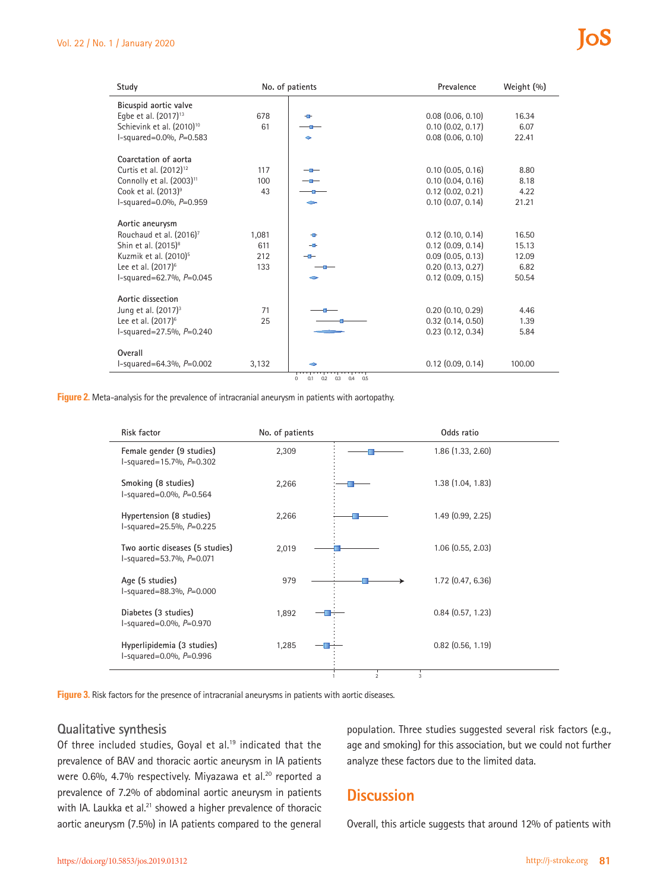| Study                                 |       | No. of patients                             | Prevalence            | Weight (%) |
|---------------------------------------|-------|---------------------------------------------|-----------------------|------------|
| Bicuspid aortic valve                 |       |                                             |                       |            |
| Egbe et al. (2017) <sup>13</sup>      | 678   | ÷                                           | $0.08$ $(0.06, 0.10)$ | 16.34      |
| Schievink et al. (2010) <sup>10</sup> | 61    |                                             | $0.10$ $(0.02, 0.17)$ | 6.07       |
| l-squared=0.0%, $P=0.583$             |       | ۵                                           | $0.08$ $(0.06, 0.10)$ | 22.41      |
|                                       |       |                                             |                       |            |
| Coarctation of aorta                  |       |                                             |                       |            |
| Curtis et al. (2012) <sup>12</sup>    | 117   |                                             | $0.10$ $(0.05, 0.16)$ | 8.80       |
| Connolly et al. (2003) <sup>11</sup>  | 100   |                                             | $0.10$ $(0.04, 0.16)$ | 8.18       |
| Cook et al. (2013) <sup>9</sup>       | 43    |                                             | $0.12$ $(0.02, 0.21)$ | 4.22       |
| l-squared=0.0%, $P=0.959$             |       |                                             | $0.10$ $(0.07, 0.14)$ | 21.21      |
| Aortic aneurysm                       |       |                                             |                       |            |
| Rouchaud et al. (2016) <sup>7</sup>   | 1,081 | ÷                                           | $0.12$ $(0.10, 0.14)$ | 16.50      |
| Shin et al. (2015) <sup>8</sup>       | 611   | ╼                                           | $0.12$ (0.09, 0.14)   | 15.13      |
|                                       |       |                                             |                       |            |
| Kuzmik et al. (2010) <sup>5</sup>     | 212   |                                             | $0.09$ $(0.05, 0.13)$ | 12.09      |
| Lee et al. (2017) <sup>6</sup>        | 133   |                                             | $0.20$ $(0.13, 0.27)$ | 6.82       |
| l-squared=62.7%, P=0.045              |       |                                             | $0.12$ $(0.09, 0.15)$ | 50.54      |
| Aortic dissection                     |       |                                             |                       |            |
| Jung et al. (2017) <sup>3</sup>       | 71    |                                             | $0.20$ $(0.10, 0.29)$ | 4.46       |
| Lee et al. (2017) <sup>6</sup>        | 25    |                                             | $0.32$ $(0.14, 0.50)$ | 1.39       |
| l-squared=27.5%, P=0.240              |       |                                             | $0.23$ $(0.12, 0.34)$ | 5.84       |
|                                       |       |                                             |                       |            |
| Overall                               |       |                                             |                       |            |
| l-squared=64.3%, $P=0.002$            | 3,132 |                                             | $0.12$ (0.09, 0.14)   | 100.00     |
|                                       |       | 0.3<br>$\Omega$<br>0.1<br>0.2<br>0.4<br>0.5 |                       |            |

**Figure 2.** Meta-analysis for the prevalence of intracranial aneurysm in patients with aortopathy.

| <b>Risk factor</b>                                               | No. of patients | Odds ratio          |
|------------------------------------------------------------------|-----------------|---------------------|
| Female gender (9 studies)<br>$l$ -squared=15.7%, $P=0.302$       | 2,309           | 1.86(1.33, 2.60)    |
| Smoking (8 studies)<br>l-squared=0.0%, P=0.564                   | 2,266           | 1.38(1.04, 1.83)    |
| Hypertension (8 studies)<br>l-squared=25.5%, $P=0.225$           | 2,266           | 1.49(0.99, 2.25)    |
| Two aortic diseases (5 studies)<br>$l$ -squared=53.7%, $P=0.071$ | 2,019           | $1.06$ (0.55, 2.03) |
| Age (5 studies)<br>l-squared=88.3%, $P=0.000$                    | 979             | $1.72$ (0.47, 6.36) |
| Diabetes (3 studies)<br>l-squared=0.0%, $P=0.970$                | 1,892           | 0.84(0.57, 1.23)    |
| Hyperlipidemia (3 studies)<br>l-squared=0.0%, $P=0.996$          | 1,285           | $0.82$ (0.56, 1.19) |
|                                                                  |                 | $\mathfrak{D}$<br>3 |

**Figure 3.** Risk factors for the presence of intracranial aneurysms in patients with aortic diseases.

#### **Qualitative synthesis**

Of three included studies, Goyal et al.<sup>19</sup> indicated that the prevalence of BAV and thoracic aortic aneurysm in IA patients were 0.6%, 4.7% respectively. Miyazawa et al.<sup>20</sup> reported a prevalence of 7.2% of abdominal aortic aneurysm in patients with IA. Laukka et al.<sup>21</sup> showed a higher prevalence of thoracic aortic aneurysm (7.5%) in IA patients compared to the general

population. Three studies suggested several risk factors (e.g., age and smoking) for this association, but we could not further analyze these factors due to the limited data.

### **Discussion**

Overall, this article suggests that around 12% of patients with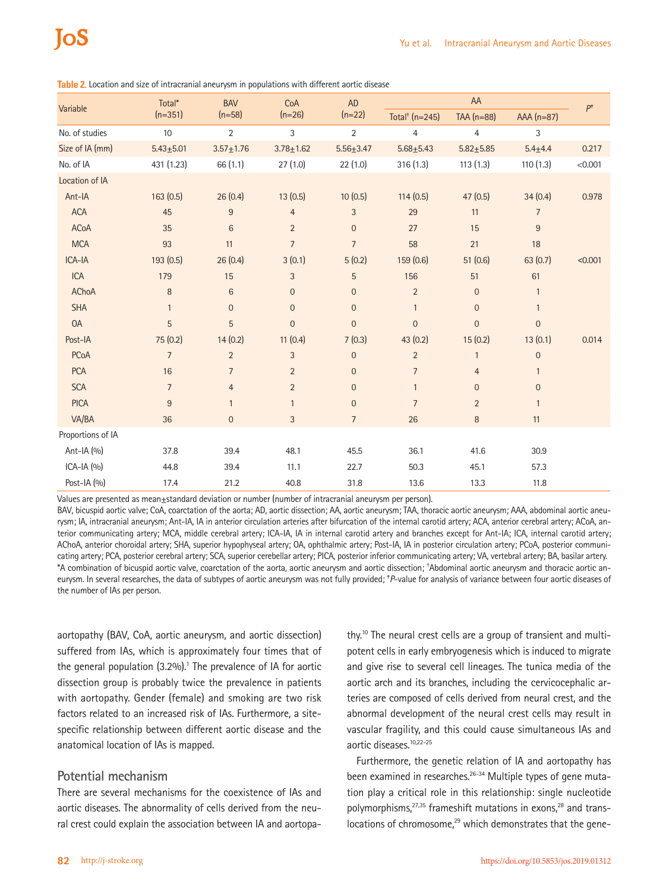| Variable          | Total*         | <b>BAV</b>      | CoA<br>$(n=26)$ | <b>AD</b>        |                                | $P^{\dagger}$  |                |         |
|-------------------|----------------|-----------------|-----------------|------------------|--------------------------------|----------------|----------------|---------|
|                   | $(n=351)$      | $(n=58)$        |                 | $(n=22)$         | Total <sup>+</sup> ( $n=245$ ) | TAA $(n=88)$   | $AAA(n=87)$    |         |
| No. of studies    | 10             | $\overline{2}$  | 3               | $\overline{2}$   | $\overline{4}$                 | $\overline{4}$ | 3              |         |
| Size of IA (mm)   | $5.43 + 5.01$  | $3.57 + 1.76$   | $3.78 + 1.62$   | $5.56 + 3.47$    | $5.68 + 5.43$                  | $5.82 + 5.85$  | $5.4 + 4.4$    | 0.217   |
| No. of IA         | 431 (1.23)     | 66(1.1)         | 27(1.0)         | 22(1.0)          | 316(1.3)                       | 113(1.3)       | 110(1.3)       | < 0.001 |
| Location of IA    |                |                 |                 |                  |                                |                |                |         |
| Ant-IA            | 163(0.5)       | 26(0.4)         | 13(0.5)         | 10(0.5)          | 114(0.5)                       | 47(0.5)        | 34(0.4)        | 0.978   |
| <b>ACA</b>        | 45             | 9               | $\overline{4}$  | $\sqrt{3}$       | 29                             | 11             | $\overline{7}$ |         |
| <b>ACoA</b>       | 35             | $6\phantom{1}6$ | $\overline{2}$  | $\boldsymbol{0}$ | 27                             | 15             | $\overline{9}$ |         |
| <b>MCA</b>        | 93             | 11              | $\overline{7}$  | $\overline{7}$   | 58                             | 21             | 18             |         |
| ICA-IA            | 193 (0.5)      | 26(0.4)         | 3(0.1)          | 5(0.2)           | 159(0.6)                       | 51(0.6)        | 63(0.7)        | < 0.001 |
| ICA               | 179            | 15              | 3               | 5                | 156                            | 51             | 61             |         |
| AChoA             | $\, 8$         | $6\phantom{1}$  | $\mathbf 0$     | $\boldsymbol{0}$ | $\overline{2}$                 | $\overline{0}$ | $\mathbf{1}$   |         |
| <b>SHA</b>        | $\mathbf{1}$   | $\theta$        | $\mathbf 0$     | $\boldsymbol{0}$ | $\mathbf{1}$                   | $\mathbf 0$    | $\mathbf{1}$   |         |
| <b>OA</b>         | 5              | 5               | $\mathbf 0$     | $\mathbf{0}$     | $\mathbf{0}$                   | $\overline{0}$ | $\mathbf 0$    |         |
| Post-IA           | 75 (0.2)       | 14(0.2)         | 11(0.4)         | 7(0.3)           | 43(0.2)                        | 15(0.2)        | 13(0.1)        | 0.014   |
| PCoA              | $\overline{7}$ | $\overline{2}$  | 3               | $\boldsymbol{0}$ | $\overline{2}$                 | $\mathbf{1}$   | $\mathbf 0$    |         |
| <b>PCA</b>        | 16             | $\overline{7}$  | $\overline{2}$  | $\boldsymbol{0}$ | $\overline{7}$                 | $\overline{4}$ | $\mathbf{1}$   |         |
| <b>SCA</b>        | $\overline{7}$ | $\overline{4}$  | $\overline{2}$  | $\boldsymbol{0}$ | $\mathbf{1}$                   | $\overline{0}$ | $\mathbf 0$    |         |
| <b>PICA</b>       | $\overline{9}$ | $\mathbf{1}$    | $\mathbf{1}$    | $\mathbf 0$      | $\overline{7}$                 | $\overline{2}$ | $\mathbf{1}$   |         |
| VA/BA             | 36             | $\mathbf{0}$    | 3               | $\overline{7}$   | 26                             | 8              | 11             |         |
| Proportions of IA |                |                 |                 |                  |                                |                |                |         |
| Ant-IA (%)        | 37.8           | 39.4            | 48.1            | 45.5             | 36.1                           | 41.6           | 30.9           |         |
| $ICA-IA(9/0)$     | 44.8           | 39.4            | 11.1            | 22.7             | 50.3                           | 45.1           | 57.3           |         |
| Post-IA (%)       | 17.4           | 21.2            | 40.8            | 31.8             | 13.6                           | 13.3           | 11.8           |         |

**Table 2.** Location and size of intracranial aneurysm in populations with different aortic disease

Values are presented as mean±standard deviation or number (number of intracranial aneurysm per person).

BAV, bicuspid aortic valve; CoA, coarctation of the aorta; AD, aortic dissection; AA, aortic aneurysm; TAA, thoracic aortic aneurysm; AAA, abdominal aortic aneurysm; IA, intracranial aneurysm; Ant-IA, IA in anterior circulation arteries after bifurcation of the internal carotid artery; ACA, anterior cerebral artery; ACoA, anterior communicating artery; MCA, middle cerebral artery; ICA-IA, IA in internal carotid artery and branches except for Ant-IA; ICA, internal carotid artery; AChoA, anterior choroidal artery; SHA, superior hypophyseal artery; OA, ophthalmic artery; Post-IA, IA in posterior circulation artery; PCoA, posterior communicating artery; PCA, posterior cerebral artery; SCA, superior cerebellar artery; PICA, posterior inferior communicating artery; VA, vertebral artery; BA, basilar artery. \*A combination of bicuspid aortic valve, coarctation of the aorta, aortic aneurysm and aortic dissection; † Abdominal aortic aneurysm and thoracic aortic aneurysm. In several researches, the data of subtypes of aortic aneurysm was not fully provided; <sup>\*</sup>P-value for analysis of variance between four aortic diseases of the number of IAs per person.

aortopathy (BAV, CoA, aortic aneurysm, and aortic dissection) suffered from IAs, which is approximately four times that of the general population  $(3.2\%)$ .<sup>1</sup> The prevalence of IA for aortic dissection group is probably twice the prevalence in patients with aortopathy. Gender (female) and smoking are two risk factors related to an increased risk of IAs. Furthermore, a sitespecific relationship between different aortic disease and the anatomical location of IAs is mapped.

#### **Potential mechanism**

There are several mechanisms for the coexistence of IAs and aortic diseases. The abnormality of cells derived from the neural crest could explain the association between IA and aortopa-

thy.10 The neural crest cells are a group of transient and multipotent cells in early embryogenesis which is induced to migrate and give rise to several cell lineages. The tunica media of the aortic arch and its branches, including the cervicocephalic arteries are composed of cells derived from neural crest, and the abnormal development of the neural crest cells may result in vascular fragility, and this could cause simultaneous IAs and aortic diseases.10,22-25

Furthermore, the genetic relation of IA and aortopathy has been examined in researches.<sup>26-34</sup> Multiple types of gene mutation play a critical role in this relationship: single nucleotide polymorphisms, $27,35$  frameshift mutations in exons, $28$  and translocations of chromosome, $29$  which demonstrates that the gene-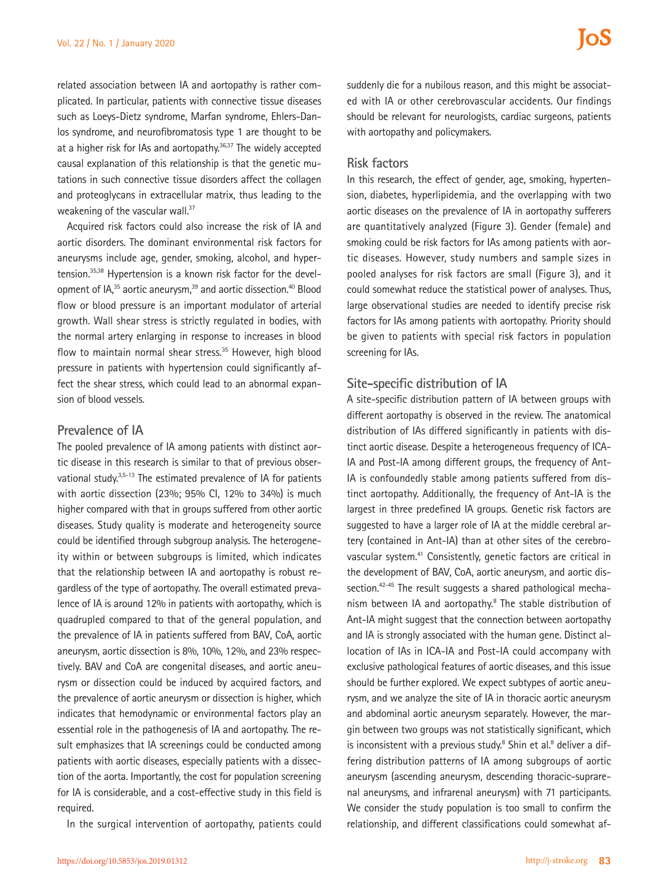related association between IA and aortopathy is rather complicated. In particular, patients with connective tissue diseases such as Loeys-Dietz syndrome, Marfan syndrome, Ehlers-Danlos syndrome, and neurofibromatosis type 1 are thought to be at a higher risk for IAs and aortopathy.<sup>36,37</sup> The widely accepted causal explanation of this relationship is that the genetic mutations in such connective tissue disorders affect the collagen and proteoglycans in extracellular matrix, thus leading to the weakening of the vascular wall.<sup>37</sup>

Acquired risk factors could also increase the risk of IA and aortic disorders. The dominant environmental risk factors for aneurysms include age, gender, smoking, alcohol, and hypertension.35,38 Hypertension is a known risk factor for the development of IA,<sup>35</sup> aortic aneurysm,<sup>39</sup> and aortic dissection.<sup>40</sup> Blood flow or blood pressure is an important modulator of arterial growth. Wall shear stress is strictly regulated in bodies, with the normal artery enlarging in response to increases in blood flow to maintain normal shear stress.<sup>35</sup> However, high blood pressure in patients with hypertension could significantly affect the shear stress, which could lead to an abnormal expansion of blood vessels.

#### **Prevalence of IA**

The pooled prevalence of IA among patients with distinct aortic disease in this research is similar to that of previous observational study.<sup>3,5-13</sup> The estimated prevalence of IA for patients with aortic dissection (23%; 95% CI, 12% to 34%) is much higher compared with that in groups suffered from other aortic diseases. Study quality is moderate and heterogeneity source could be identified through subgroup analysis. The heterogeneity within or between subgroups is limited, which indicates that the relationship between IA and aortopathy is robust regardless of the type of aortopathy. The overall estimated prevalence of IA is around 12% in patients with aortopathy, which is quadrupled compared to that of the general population, and the prevalence of IA in patients suffered from BAV, CoA, aortic aneurysm, aortic dissection is 8%, 10%, 12%, and 23% respectively. BAV and CoA are congenital diseases, and aortic aneurysm or dissection could be induced by acquired factors, and the prevalence of aortic aneurysm or dissection is higher, which indicates that hemodynamic or environmental factors play an essential role in the pathogenesis of IA and aortopathy. The result emphasizes that IA screenings could be conducted among patients with aortic diseases, especially patients with a dissection of the aorta. Importantly, the cost for population screening for IA is considerable, and a cost-effective study in this field is required.

In the surgical intervention of aortopathy, patients could

suddenly die for a nubilous reason, and this might be associated with IA or other cerebrovascular accidents. Our findings should be relevant for neurologists, cardiac surgeons, patients with aortopathy and policymakers.

#### **Risk factors**

In this research, the effect of gender, age, smoking, hypertension, diabetes, hyperlipidemia, and the overlapping with two aortic diseases on the prevalence of IA in aortopathy sufferers are quantitatively analyzed (Figure 3). Gender (female) and smoking could be risk factors for IAs among patients with aortic diseases. However, study numbers and sample sizes in pooled analyses for risk factors are small (Figure 3), and it could somewhat reduce the statistical power of analyses. Thus, large observational studies are needed to identify precise risk factors for IAs among patients with aortopathy. Priority should be given to patients with special risk factors in population screening for IAs.

#### **Site-specific distribution of IA**

A site-specific distribution pattern of IA between groups with different aortopathy is observed in the review. The anatomical distribution of IAs differed significantly in patients with distinct aortic disease. Despite a heterogeneous frequency of ICA-IA and Post-IA among different groups, the frequency of Ant-IA is confoundedly stable among patients suffered from distinct aortopathy. Additionally, the frequency of Ant-IA is the largest in three predefined IA groups. Genetic risk factors are suggested to have a larger role of IA at the middle cerebral artery (contained in Ant-IA) than at other sites of the cerebrovascular system.41 Consistently, genetic factors are critical in the development of BAV, CoA, aortic aneurysm, and aortic dissection.<sup>42-45</sup> The result suggests a shared pathological mechanism between IA and aortopathy.<sup>8</sup> The stable distribution of Ant-IA might suggest that the connection between aortopathy and IA is strongly associated with the human gene. Distinct allocation of IAs in ICA-IA and Post-IA could accompany with exclusive pathological features of aortic diseases, and this issue should be further explored. We expect subtypes of aortic aneurysm, and we analyze the site of IA in thoracic aortic aneurysm and abdominal aortic aneurysm separately. However, the margin between two groups was not statistically significant, which is inconsistent with a previous study.<sup>8</sup> Shin et al.<sup>8</sup> deliver a differing distribution patterns of IA among subgroups of aortic aneurysm (ascending aneurysm, descending thoracic-suprarenal aneurysms, and infrarenal aneurysm) with 71 participants. We consider the study population is too small to confirm the relationship, and different classifications could somewhat af-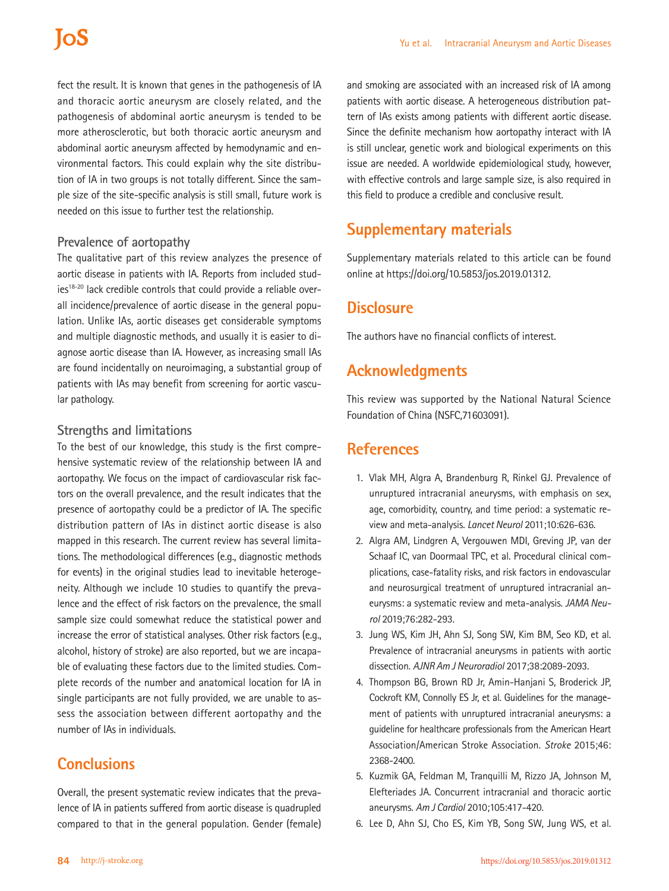## **ToS**

fect the result. It is known that genes in the pathogenesis of IA and thoracic aortic aneurysm are closely related, and the pathogenesis of abdominal aortic aneurysm is tended to be more atherosclerotic, but both thoracic aortic aneurysm and abdominal aortic aneurysm affected by hemodynamic and environmental factors. This could explain why the site distribution of IA in two groups is not totally different. Since the sample size of the site-specific analysis is still small, future work is needed on this issue to further test the relationship.

#### **Prevalence of aortopathy**

The qualitative part of this review analyzes the presence of aortic disease in patients with IA. Reports from included studies<sup>18-20</sup> lack credible controls that could provide a reliable overall incidence/prevalence of aortic disease in the general population. Unlike IAs, aortic diseases get considerable symptoms and multiple diagnostic methods, and usually it is easier to diagnose aortic disease than IA. However, as increasing small IAs are found incidentally on neuroimaging, a substantial group of patients with IAs may benefit from screening for aortic vascular pathology.

#### **Strengths and limitations**

To the best of our knowledge, this study is the first comprehensive systematic review of the relationship between IA and aortopathy. We focus on the impact of cardiovascular risk factors on the overall prevalence, and the result indicates that the presence of aortopathy could be a predictor of IA. The specific distribution pattern of IAs in distinct aortic disease is also mapped in this research. The current review has several limitations. The methodological differences (e.g., diagnostic methods for events) in the original studies lead to inevitable heterogeneity. Although we include 10 studies to quantify the prevalence and the effect of risk factors on the prevalence, the small sample size could somewhat reduce the statistical power and increase the error of statistical analyses. Other risk factors (e.g., alcohol, history of stroke) are also reported, but we are incapable of evaluating these factors due to the limited studies. Complete records of the number and anatomical location for IA in single participants are not fully provided, we are unable to assess the association between different aortopathy and the number of IAs in individuals.

## **Conclusions**

Overall, the present systematic review indicates that the prevalence of IA in patients suffered from aortic disease is quadrupled compared to that in the general population. Gender (female)

and smoking are associated with an increased risk of IA among patients with aortic disease. A heterogeneous distribution pattern of IAs exists among patients with different aortic disease. Since the definite mechanism how aortopathy interact with IA is still unclear, genetic work and biological experiments on this issue are needed. A worldwide epidemiological study, however, with effective controls and large sample size, is also required in this field to produce a credible and conclusive result.

## **Supplementary materials**

Supplementary materials related to this article can be found online at https://doi.org/10.5853/jos.2019.01312.

## **Disclosure**

The authors have no financial conflicts of interest.

## **Acknowledgments**

This review was supported by the National Natural Science Foundation of China (NSFC,71603091).

## **References**

- 1. Vlak MH, Algra A, Brandenburg R, Rinkel GJ. Prevalence of unruptured intracranial aneurysms, with emphasis on sex, age, comorbidity, country, and time period: a systematic review and meta-analysis. *Lancet Neurol* 2011;10:626-636.
- 2. Algra AM, Lindgren A, Vergouwen MDI, Greving JP, van der Schaaf IC, van Doormaal TPC, et al. Procedural clinical complications, case-fatality risks, and risk factors in endovascular and neurosurgical treatment of unruptured intracranial aneurysms: a systematic review and meta-analysis. *JAMA Neurol* 2019;76:282-293.
- 3. Jung WS, Kim JH, Ahn SJ, Song SW, Kim BM, Seo KD, et al. Prevalence of intracranial aneurysms in patients with aortic dissection. *AJNR Am J Neuroradiol* 2017;38:2089-2093.
- 4. Thompson BG, Brown RD Jr, Amin-Hanjani S, Broderick JP, Cockroft KM, Connolly ES Jr, et al. Guidelines for the management of patients with unruptured intracranial aneurysms: a guideline for healthcare professionals from the American Heart Association/American Stroke Association. *Stroke* 2015;46: 2368-2400.
- 5. Kuzmik GA, Feldman M, Tranquilli M, Rizzo JA, Johnson M, Elefteriades JA. Concurrent intracranial and thoracic aortic aneurysms. *Am J Cardiol* 2010;105:417-420.
- 6. Lee D, Ahn SJ, Cho ES, Kim YB, Song SW, Jung WS, et al.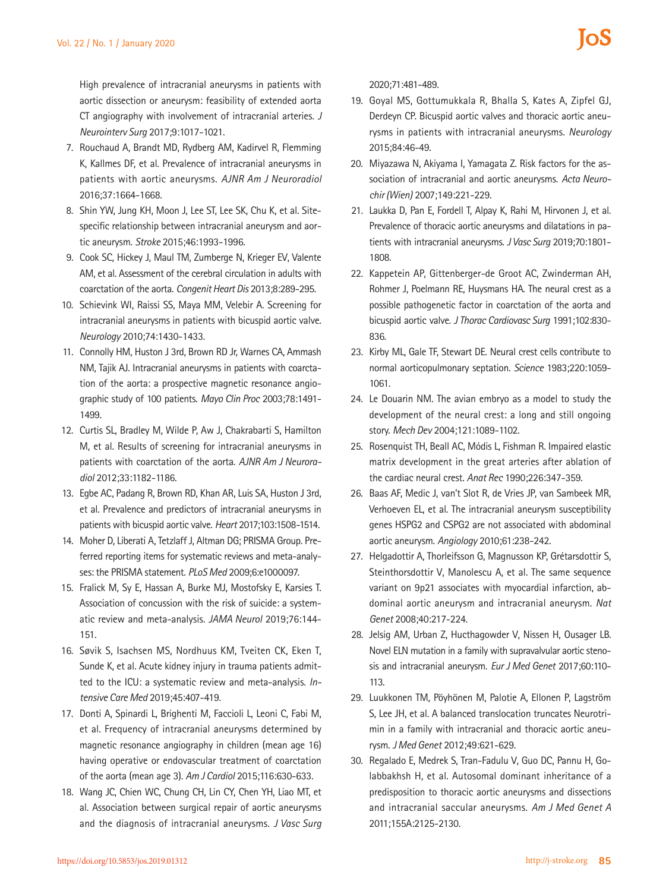High prevalence of intracranial aneurysms in patients with aortic dissection or aneurysm: feasibility of extended aorta CT angiography with involvement of intracranial arteries. *J Neurointerv Surg* 2017;9:1017-1021.

- 7. Rouchaud A, Brandt MD, Rydberg AM, Kadirvel R, Flemming K, Kallmes DF, et al. Prevalence of intracranial aneurysms in patients with aortic aneurysms. *AJNR Am J Neuroradiol* 2016;37:1664-1668.
- 8. Shin YW, Jung KH, Moon J, Lee ST, Lee SK, Chu K, et al. Sitespecific relationship between intracranial aneurysm and aortic aneurysm. *Stroke* 2015;46:1993-1996.
- 9. Cook SC, Hickey J, Maul TM, Zumberge N, Krieger EV, Valente AM, et al. Assessment of the cerebral circulation in adults with coarctation of the aorta. *Congenit Heart Dis* 2013;8:289-295.
- 10. Schievink WI, Raissi SS, Maya MM, Velebir A. Screening for intracranial aneurysms in patients with bicuspid aortic valve. *Neurology* 2010;74:1430-1433.
- 11. Connolly HM, Huston J 3rd, Brown RD Jr, Warnes CA, Ammash NM, Tajik AJ. Intracranial aneurysms in patients with coarctation of the aorta: a prospective magnetic resonance angiographic study of 100 patients. *Mayo Clin Proc* 2003;78:1491- 1499.
- 12. Curtis SL, Bradley M, Wilde P, Aw J, Chakrabarti S, Hamilton M, et al. Results of screening for intracranial aneurysms in patients with coarctation of the aorta. *AJNR Am J Neuroradiol* 2012;33:1182-1186.
- 13. Egbe AC, Padang R, Brown RD, Khan AR, Luis SA, Huston J 3rd, et al. Prevalence and predictors of intracranial aneurysms in patients with bicuspid aortic valve. *Heart* 2017;103:1508-1514.
- 14. Moher D, Liberati A, Tetzlaff J, Altman DG; PRISMA Group. Preferred reporting items for systematic reviews and meta-analyses: the PRISMA statement. *PLoS Med* 2009;6:e1000097.
- 15. Fralick M, Sy E, Hassan A, Burke MJ, Mostofsky E, Karsies T. Association of concussion with the risk of suicide: a systematic review and meta-analysis. *JAMA Neurol* 2019;76:144- 151.
- 16. Søvik S, Isachsen MS, Nordhuus KM, Tveiten CK, Eken T, Sunde K, et al. Acute kidney injury in trauma patients admitted to the ICU: a systematic review and meta-analysis. *Intensive Care Med* 2019;45:407-419.
- 17. Donti A, Spinardi L, Brighenti M, Faccioli L, Leoni C, Fabi M, et al. Frequency of intracranial aneurysms determined by magnetic resonance angiography in children (mean age 16) having operative or endovascular treatment of coarctation of the aorta (mean age 3). *Am J Cardiol* 2015;116:630-633.
- 18. Wang JC, Chien WC, Chung CH, Lin CY, Chen YH, Liao MT, et al. Association between surgical repair of aortic aneurysms and the diagnosis of intracranial aneurysms. *J Vasc Surg*

2020;71:481-489.

- 19. Goyal MS, Gottumukkala R, Bhalla S, Kates A, Zipfel GJ, Derdeyn CP. Bicuspid aortic valves and thoracic aortic aneurysms in patients with intracranial aneurysms. *Neurology* 2015;84:46-49.
- 20. Miyazawa N, Akiyama I, Yamagata Z. Risk factors for the association of intracranial and aortic aneurysms. *Acta Neurochir (Wien)* 2007;149:221-229.
- 21. Laukka D, Pan E, Fordell T, Alpay K, Rahi M, Hirvonen J, et al. Prevalence of thoracic aortic aneurysms and dilatations in patients with intracranial aneurysms. *J Vasc Surg* 2019;70:1801- 1808.
- 22. Kappetein AP, Gittenberger-de Groot AC, Zwinderman AH, Rohmer J, Poelmann RE, Huysmans HA. The neural crest as a possible pathogenetic factor in coarctation of the aorta and bicuspid aortic valve. *J Thorac Cardiovasc Surg* 1991;102:830- 836.
- 23. Kirby ML, Gale TF, Stewart DE. Neural crest cells contribute to normal aorticopulmonary septation. *Science* 1983;220:1059- 1061.
- 24. Le Douarin NM. The avian embryo as a model to study the development of the neural crest: a long and still ongoing story. *Mech Dev* 2004;121:1089-1102.
- 25. Rosenquist TH, Beall AC, Módis L, Fishman R. Impaired elastic matrix development in the great arteries after ablation of the cardiac neural crest. *Anat Rec* 1990;226:347-359.
- 26. Baas AF, Medic J, van't Slot R, de Vries JP, van Sambeek MR, Verhoeven EL, et al. The intracranial aneurysm susceptibility genes HSPG2 and CSPG2 are not associated with abdominal aortic aneurysm. *Angiology* 2010;61:238-242.
- 27. Helgadottir A, Thorleifsson G, Magnusson KP, Grétarsdottir S, Steinthorsdottir V, Manolescu A, et al. The same sequence variant on 9p21 associates with myocardial infarction, abdominal aortic aneurysm and intracranial aneurysm. *Nat Genet* 2008;40:217-224.
- 28. Jelsig AM, Urban Z, Hucthagowder V, Nissen H, Ousager LB. Novel ELN mutation in a family with supravalvular aortic stenosis and intracranial aneurysm. *Eur J Med Genet* 2017;60:110- 113.
- 29. Luukkonen TM, Pöyhönen M, Palotie A, Ellonen P, Lagström S, Lee JH, et al. A balanced translocation truncates Neurotrimin in a family with intracranial and thoracic aortic aneurysm. *J Med Genet* 2012;49:621-629.
- 30. Regalado E, Medrek S, Tran-Fadulu V, Guo DC, Pannu H, Golabbakhsh H, et al. Autosomal dominant inheritance of a predisposition to thoracic aortic aneurysms and dissections and intracranial saccular aneurysms. *Am J Med Genet A* 2011;155A:2125-2130.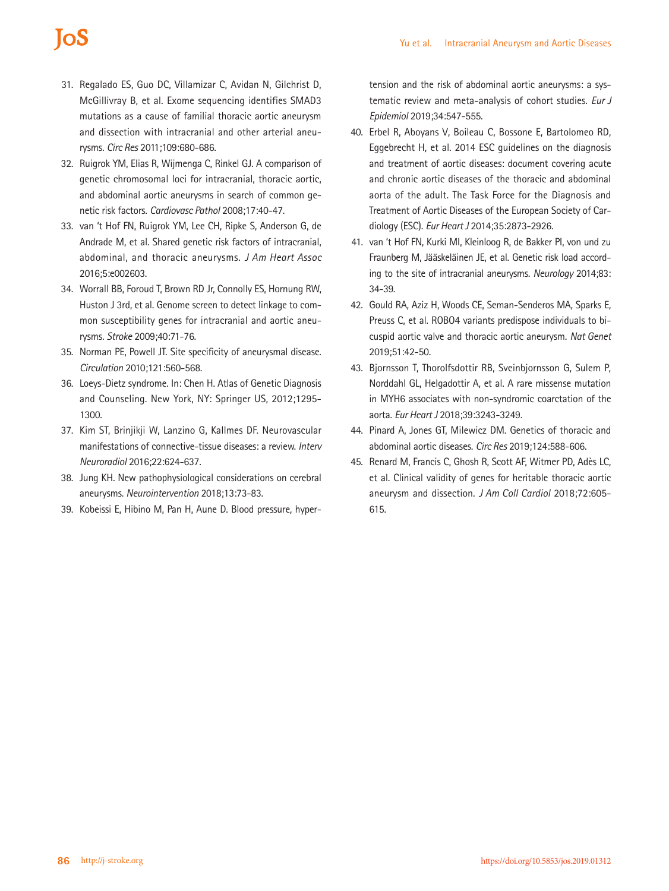## **IOS**

- 31. Regalado ES, Guo DC, Villamizar C, Avidan N, Gilchrist D, McGillivray B, et al. Exome sequencing identifies SMAD3 mutations as a cause of familial thoracic aortic aneurysm and dissection with intracranial and other arterial aneurysms. *Circ Res* 2011;109:680-686.
- 32. Ruigrok YM, Elias R, Wijmenga C, Rinkel GJ. A comparison of genetic chromosomal loci for intracranial, thoracic aortic, and abdominal aortic aneurysms in search of common genetic risk factors. *Cardiovasc Pathol* 2008;17:40-47.
- 33. van 't Hof FN, Ruigrok YM, Lee CH, Ripke S, Anderson G, de Andrade M, et al. Shared genetic risk factors of intracranial, abdominal, and thoracic aneurysms. *J Am Heart Assoc* 2016;5:e002603.
- 34. Worrall BB, Foroud T, Brown RD Jr, Connolly ES, Hornung RW, Huston J 3rd, et al. Genome screen to detect linkage to common susceptibility genes for intracranial and aortic aneurysms. *Stroke* 2009;40:71-76.
- 35. Norman PE, Powell JT. Site specificity of aneurysmal disease. *Circulation* 2010;121:560-568.
- 36. Loeys-Dietz syndrome. In: Chen H. Atlas of Genetic Diagnosis and Counseling. New York, NY: Springer US, 2012;1295- 1300.
- 37. Kim ST, Brinjikji W, Lanzino G, Kallmes DF. Neurovascular manifestations of connective-tissue diseases: a review. *Interv Neuroradiol* 2016;22:624-637.
- 38. Jung KH. New pathophysiological considerations on cerebral aneurysms. *Neurointervention* 2018;13:73-83.
- 39. Kobeissi E, Hibino M, Pan H, Aune D. Blood pressure, hyper-

tension and the risk of abdominal aortic aneurysms: a systematic review and meta-analysis of cohort studies. *Eur J Epidemiol* 2019;34:547-555.

- 40. Erbel R, Aboyans V, Boileau C, Bossone E, Bartolomeo RD, Eggebrecht H, et al. 2014 ESC guidelines on the diagnosis and treatment of aortic diseases: document covering acute and chronic aortic diseases of the thoracic and abdominal aorta of the adult. The Task Force for the Diagnosis and Treatment of Aortic Diseases of the European Society of Cardiology (ESC). *Eur Heart J* 2014;35:2873-2926.
- 41. van 't Hof FN, Kurki MI, Kleinloog R, de Bakker PI, von und zu Fraunberg M, Jääskeläinen JE, et al. Genetic risk load according to the site of intracranial aneurysms. *Neurology* 2014;83: 34-39.
- 42. Gould RA, Aziz H, Woods CE, Seman-Senderos MA, Sparks E, Preuss C, et al. ROBO4 variants predispose individuals to bicuspid aortic valve and thoracic aortic aneurysm. *Nat Genet* 2019;51:42-50.
- 43. Bjornsson T, Thorolfsdottir RB, Sveinbjornsson G, Sulem P, Norddahl GL, Helgadottir A, et al. A rare missense mutation in MYH6 associates with non-syndromic coarctation of the aorta. *Eur Heart J* 2018;39:3243-3249.
- 44. Pinard A, Jones GT, Milewicz DM. Genetics of thoracic and abdominal aortic diseases. *Circ Res* 2019;124:588-606.
- 45. Renard M, Francis C, Ghosh R, Scott AF, Witmer PD, Adès LC, et al. Clinical validity of genes for heritable thoracic aortic aneurysm and dissection. *J Am Coll Cardiol* 2018;72:605- 615.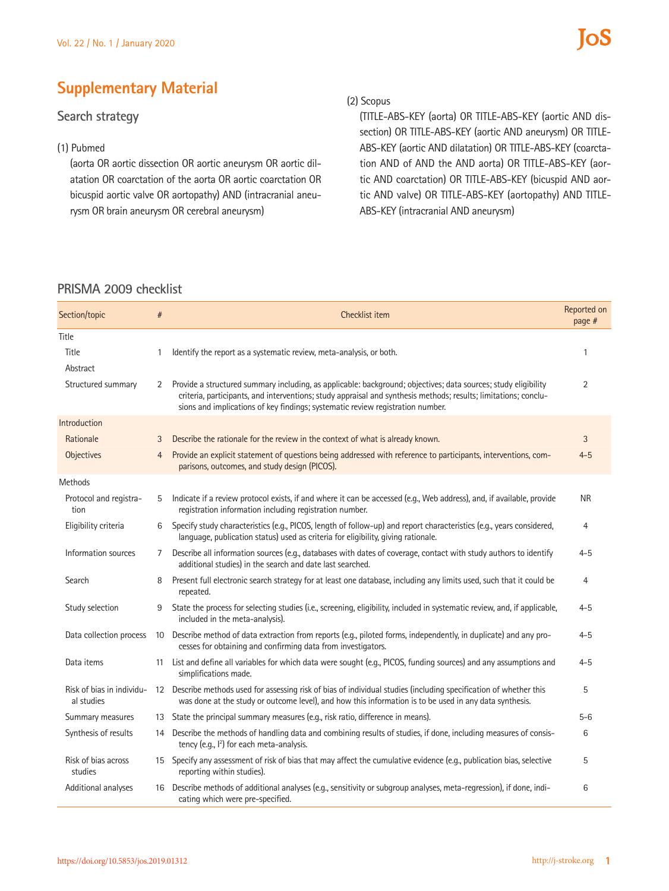## **Supplementary Material**

## **Search strategy**

#### (1) Pubmed

(aorta OR aortic dissection OR aortic aneurysm OR aortic dilatation OR coarctation of the aorta OR aortic coarctation OR bicuspid aortic valve OR aortopathy) AND (intracranial aneurysm OR brain aneurysm OR cerebral aneurysm)

#### (2) Scopus

(TITLE-ABS-KEY (aorta) OR TITLE-ABS-KEY (aortic AND dissection) OR TITLE-ABS-KEY (aortic AND aneurysm) OR TITLE-ABS-KEY (aortic AND dilatation) OR TITLE-ABS-KEY (coarctation AND of AND the AND aorta) OR TITLE-ABS-KEY (aortic AND coarctation) OR TITLE-ABS-KEY (bicuspid AND aortic AND valve) OR TITLE-ABS-KEY (aortopathy) AND TITLE-ABS-KEY (intracranial AND aneurysm)

## **PRISMA 2009 checklist**

| Section/topic                           | $\#$            | Checklist item                                                                                                                                                                                                                                                                                                      | Reported on<br>page # |
|-----------------------------------------|-----------------|---------------------------------------------------------------------------------------------------------------------------------------------------------------------------------------------------------------------------------------------------------------------------------------------------------------------|-----------------------|
| Title                                   |                 |                                                                                                                                                                                                                                                                                                                     |                       |
| Title                                   | 1               | Identify the report as a systematic review, meta-analysis, or both.                                                                                                                                                                                                                                                 | 1                     |
| Abstract                                |                 |                                                                                                                                                                                                                                                                                                                     |                       |
| Structured summary                      | 2               | Provide a structured summary including, as applicable: background; objectives; data sources; study eligibility<br>criteria, participants, and interventions; study appraisal and synthesis methods; results; limitations; conclu-<br>sions and implications of key findings; systematic review registration number. | $\overline{2}$        |
| Introduction                            |                 |                                                                                                                                                                                                                                                                                                                     |                       |
| Rationale                               | 3               | Describe the rationale for the review in the context of what is already known.                                                                                                                                                                                                                                      | 3                     |
| Objectives                              | $\overline{4}$  | Provide an explicit statement of questions being addressed with reference to participants, interventions, com-<br>parisons, outcomes, and study design (PICOS).                                                                                                                                                     | $4 - 5$               |
| <b>Methods</b>                          |                 |                                                                                                                                                                                                                                                                                                                     |                       |
| Protocol and registra-<br>tion          | 5               | Indicate if a review protocol exists, if and where it can be accessed (e.g., Web address), and, if available, provide<br>registration information including registration number.                                                                                                                                    | <b>NR</b>             |
| Eligibility criteria                    | 6               | Specify study characteristics (e.g., PICOS, length of follow-up) and report characteristics (e.g., years considered,<br>language, publication status) used as criteria for eligibility, giving rationale.                                                                                                           | 4                     |
| Information sources                     | 7               | Describe all information sources (e.g., databases with dates of coverage, contact with study authors to identify<br>additional studies) in the search and date last searched.                                                                                                                                       | $4 - 5$               |
| Search                                  | 8               | Present full electronic search strategy for at least one database, including any limits used, such that it could be<br>repeated.                                                                                                                                                                                    | 4                     |
| Study selection                         | 9               | State the process for selecting studies (i.e., screening, eligibility, included in systematic review, and, if applicable,<br>included in the meta-analysis).                                                                                                                                                        | $4 - 5$               |
| Data collection process                 | 10              | Describe method of data extraction from reports (e.g., piloted forms, independently, in duplicate) and any pro-<br>cesses for obtaining and confirming data from investigators.                                                                                                                                     | $4 - 5$               |
| Data items                              | 11              | List and define all variables for which data were sought (e.g., PICOS, funding sources) and any assumptions and<br>simplifications made.                                                                                                                                                                            | $4 - 5$               |
| Risk of bias in individu-<br>al studies | 12 <sup>2</sup> | Describe methods used for assessing risk of bias of individual studies (including specification of whether this<br>was done at the study or outcome level), and how this information is to be used in any data synthesis.                                                                                           | 5                     |
| Summary measures                        | 13              | State the principal summary measures (e.g., risk ratio, difference in means).                                                                                                                                                                                                                                       | $5 - 6$               |
| Synthesis of results                    | 14              | Describe the methods of handling data and combining results of studies, if done, including measures of consis-<br>tency (e.g., l <sup>2</sup> ) for each meta-analysis.                                                                                                                                             | 6                     |
| Risk of bias across<br>studies          |                 | 15 Specify any assessment of risk of bias that may affect the cumulative evidence (e.g., publication bias, selective<br>reporting within studies).                                                                                                                                                                  | 5                     |
| Additional analyses                     | 16              | Describe methods of additional analyses (e.g., sensitivity or subgroup analyses, meta-regression), if done, indi-<br>cating which were pre-specified.                                                                                                                                                               | 6                     |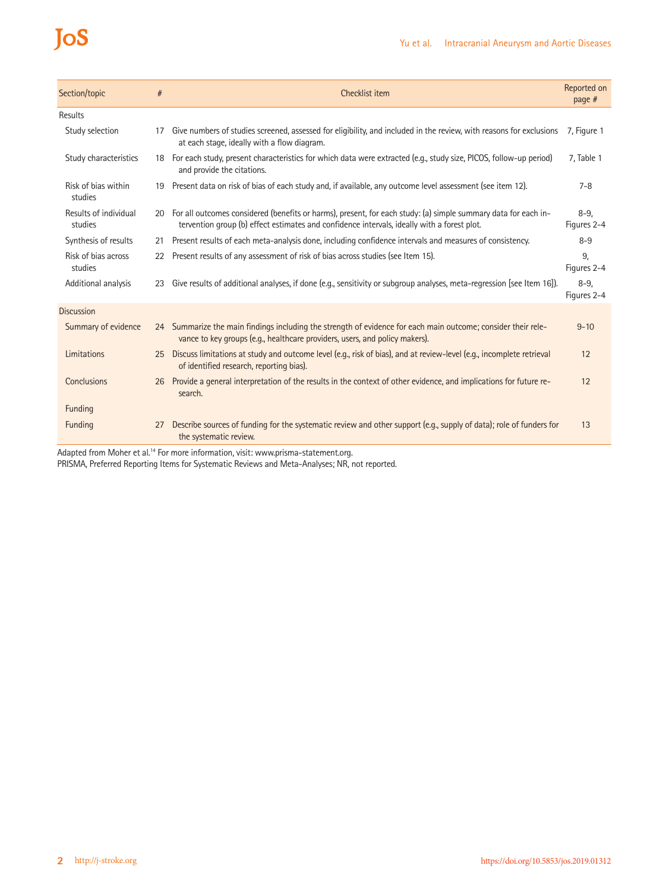# JoS

| Section/topic                    | #  | Checklist item                                                                                                                                                                                                | Reported on<br>page $#$ |
|----------------------------------|----|---------------------------------------------------------------------------------------------------------------------------------------------------------------------------------------------------------------|-------------------------|
| Results                          |    |                                                                                                                                                                                                               |                         |
| Study selection                  | 17 | Give numbers of studies screened, assessed for eligibility, and included in the review, with reasons for exclusions<br>at each stage, ideally with a flow diagram.                                            | 7, Figure 1             |
| Study characteristics            |    | 18 For each study, present characteristics for which data were extracted (e.g., study size, PICOS, follow-up period)<br>and provide the citations.                                                            | 7, Table 1              |
| Risk of bias within<br>studies   | 19 | Present data on risk of bias of each study and, if available, any outcome level assessment (see item 12).                                                                                                     | $7 - 8$                 |
| Results of individual<br>studies | 20 | For all outcomes considered (benefits or harms), present, for each study: (a) simple summary data for each in-<br>tervention group (b) effect estimates and confidence intervals, ideally with a forest plot. | $8 - 9$<br>Figures 2-4  |
| Synthesis of results             | 21 | Present results of each meta-analysis done, including confidence intervals and measures of consistency.                                                                                                       | $8 - 9$                 |
| Risk of bias across<br>studies   | 22 | Present results of any assessment of risk of bias across studies (see Item 15).                                                                                                                               | 9,<br>Figures 2-4       |
| Additional analysis              | 23 | Give results of additional analyses, if done (e.g., sensitivity or subgroup analyses, meta-regression [see Item 16]).                                                                                         | $8 - 9$<br>Figures 2-4  |
| <b>Discussion</b>                |    |                                                                                                                                                                                                               |                         |
| Summary of evidence              |    | 24 Summarize the main findings including the strength of evidence for each main outcome; consider their rele-<br>vance to key groups (e.g., healthcare providers, users, and policy makers).                  | $9 - 10$                |
| Limitations                      | 25 | Discuss limitations at study and outcome level (e.g., risk of bias), and at review-level (e.g., incomplete retrieval<br>of identified research, reporting bias).                                              | 12                      |
| Conclusions                      | 26 | Provide a general interpretation of the results in the context of other evidence, and implications for future re-<br>search.                                                                                  | 12                      |
| Funding                          |    |                                                                                                                                                                                                               |                         |
| Funding                          | 27 | Describe sources of funding for the systematic review and other support (e.g., supply of data); role of funders for<br>the systematic review.                                                                 | 13                      |
|                                  |    |                                                                                                                                                                                                               |                         |

Adapted from Moher et al.<sup>14</sup> For more information, visit: [www.prisma-statement.org.](http://www.prisma-statement.org)

PRISMA, Preferred Reporting Items for Systematic Reviews and Meta-Analyses; NR, not reported.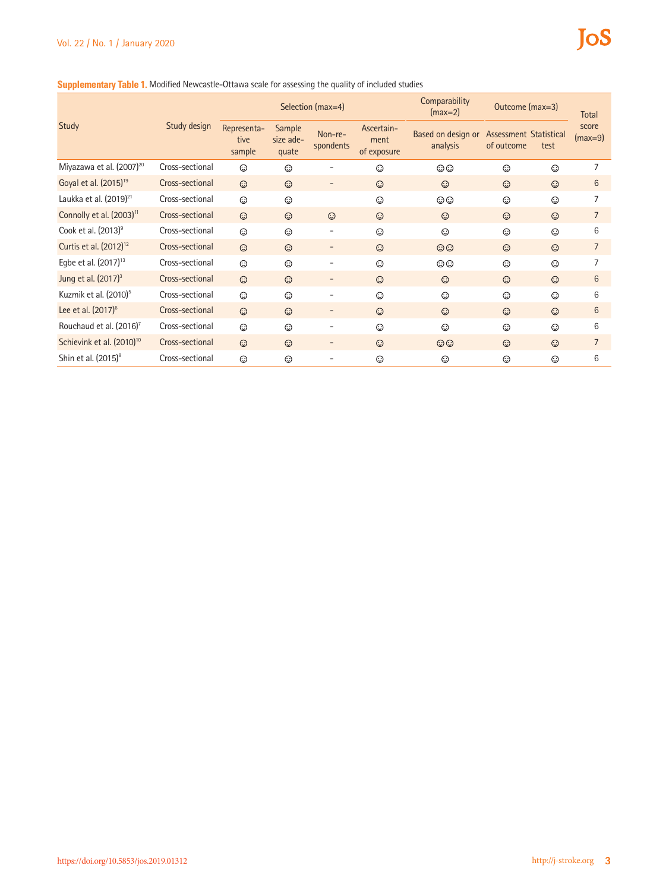#### **Supplementary Table 1.** Modified Newcastle-Ottawa scale for assessing the quality of included studies

|                                       |                 | Selection (max=4)             |                              |                          |                                   | Comparability<br>$(max=2)$     | Outcome (max=3)                      |         | Total              |
|---------------------------------------|-----------------|-------------------------------|------------------------------|--------------------------|-----------------------------------|--------------------------------|--------------------------------------|---------|--------------------|
| Study                                 | Study design    | Representa-<br>tive<br>sample | Sample<br>size ade-<br>quate | Non-re-<br>spondents     | Ascertain-<br>ment<br>of exposure | Based on design or<br>analysis | Assessment Statistical<br>of outcome | test    | score<br>$(max=9)$ |
| Miyazawa et al. $(2007)^{20}$         | Cross-sectional | ⊙                             | $\odot$                      |                          | ⊙                                 | $\odot$                        | $\odot$                              | $\odot$ | 7                  |
| Goyal et al. (2015) <sup>19</sup>     | Cross-sectional | $\odot$                       | $\odot$                      |                          | $\odot$                           | $\odot$                        | $\odot$                              | $\odot$ | 6                  |
| Laukka et al. (2019) <sup>21</sup>    | Cross-sectional | $\odot$                       | $\odot$                      |                          | ⊙                                 | $\odot$                        | $\odot$                              | $\odot$ |                    |
| Connolly et al. (2003) <sup>11</sup>  | Cross-sectional | $\odot$                       | $\odot$                      | $\odot$                  | $\odot$                           | $\odot$                        | $\odot$                              | $\odot$ | $\overline{7}$     |
| Cook et al. (2013) <sup>9</sup>       | Cross-sectional | ⊙                             | ⊙                            |                          | ⊙                                 | ⊙                              | ⊙                                    | ⊙       | 6                  |
| Curtis et al. (2012) <sup>12</sup>    | Cross-sectional | $\odot$                       | $\odot$                      | -                        | $\odot$                           | $\odot$                        | $\odot$                              | $\odot$ | $\overline{7}$     |
| Egbe et al. (2017) <sup>13</sup>      | Cross-sectional | $\odot$                       | $\odot$                      | $\overline{a}$           | $\odot$                           | $\odot$                        | $\odot$                              | $\odot$ | 7                  |
| Jung et al. (2017) <sup>3</sup>       | Cross-sectional | $\odot$                       | $\odot$                      |                          | $\odot$                           | $\odot$                        | $\odot$                              | $\odot$ | 6                  |
| Kuzmik et al. (2010) <sup>5</sup>     | Cross-sectional | $\odot$                       | $\odot$                      |                          | $\odot$                           | $\odot$                        | $\odot$                              | $\odot$ | 6                  |
| Lee et al. $(2017)^6$                 | Cross-sectional | $\odot$                       | $\odot$                      |                          | $\odot$                           | $\odot$                        | $\odot$                              | $\odot$ | 6                  |
| Rouchaud et al. (2016) <sup>7</sup>   | Cross-sectional | $\odot$                       | $\odot$                      |                          | $\odot$                           | ⊙                              | $\odot$                              | $\odot$ | 6                  |
| Schievink et al. (2010) <sup>10</sup> | Cross-sectional | $\odot$                       | $\odot$                      | $\overline{\phantom{a}}$ | $\odot$                           | $\odot$                        | $\odot$                              | $\odot$ | $\overline{7}$     |
| Shin et al. (2015) <sup>8</sup>       | Cross-sectional | $\odot$                       | $\odot$                      |                          | ⊙                                 | $\odot$                        | $\odot$                              | $\odot$ | 6                  |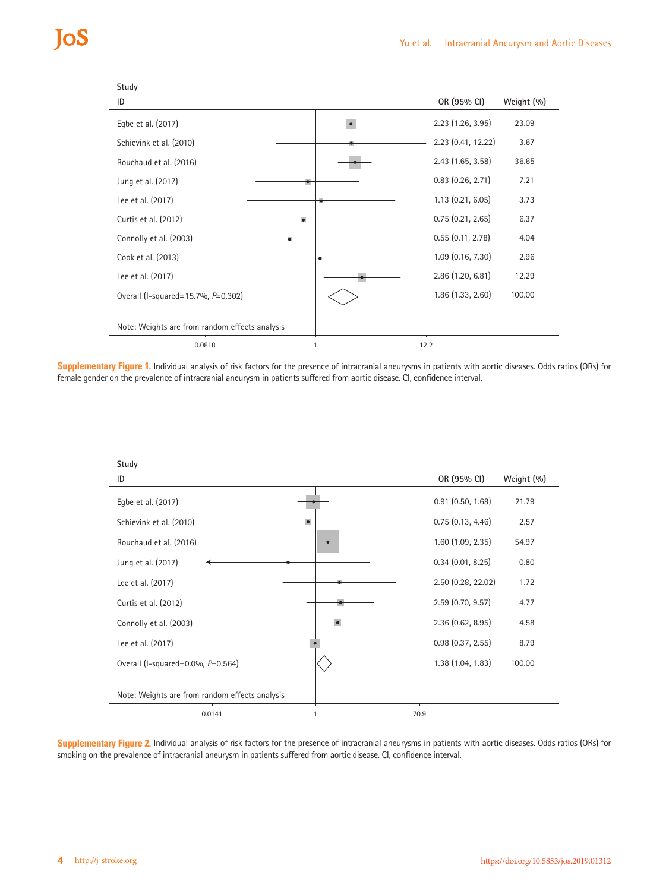| Study                                          |                       |               |
|------------------------------------------------|-----------------------|---------------|
| ID                                             | OR (95% CI)           | Weight $(\%)$ |
| Egbe et al. (2017)                             | 2.23 (1.26, 3.95)     | 23.09         |
| Schievink et al. (2010)                        | 2.23 (0.41, 12.22)    | 3.67          |
| Rouchaud et al. (2016)                         | $2.43$ (1.65, 3.58)   | 36.65         |
| Jung et al. (2017)                             | $0.83$ $(0.26, 2.71)$ | 7.21          |
| Lee et al. (2017)                              | 1.13(0.21, 6.05)      | 3.73          |
| Curtis et al. (2012)                           | 0.75(0.21, 2.65)      | 6.37          |
| Connolly et al. (2003)                         | 0.55(0.11, 2.78)      | 4.04          |
| Cook et al. (2013)                             | 1.09 (0.16, 7.30)     | 2.96          |
| Lee et al. (2017)                              | 2.86(1.20, 6.81)      | 12.29         |
| Overall (I-squared=15.7%, P=0.302)             | 1.86 (1.33, 2.60)     | 100.00        |
|                                                |                       |               |
| Note: Weights are from random effects analysis |                       |               |
| 0.0818                                         | 12.2                  |               |

**Supplementary Figure 1.** Individual analysis of risk factors for the presence of intracranial aneurysms in patients with aortic diseases. Odds ratios (ORs) for female gender on the prevalence of intracranial aneurysm in patients suffered from aortic disease. CI, confidence interval.



Supplementary Figure 2. Individual analysis of risk factors for the presence of intracranial aneurysms in patients with aortic diseases. Odds ratios (ORs) for smoking on the prevalence of intracranial aneurysm in patients suffered from aortic disease. CI, confidence interval.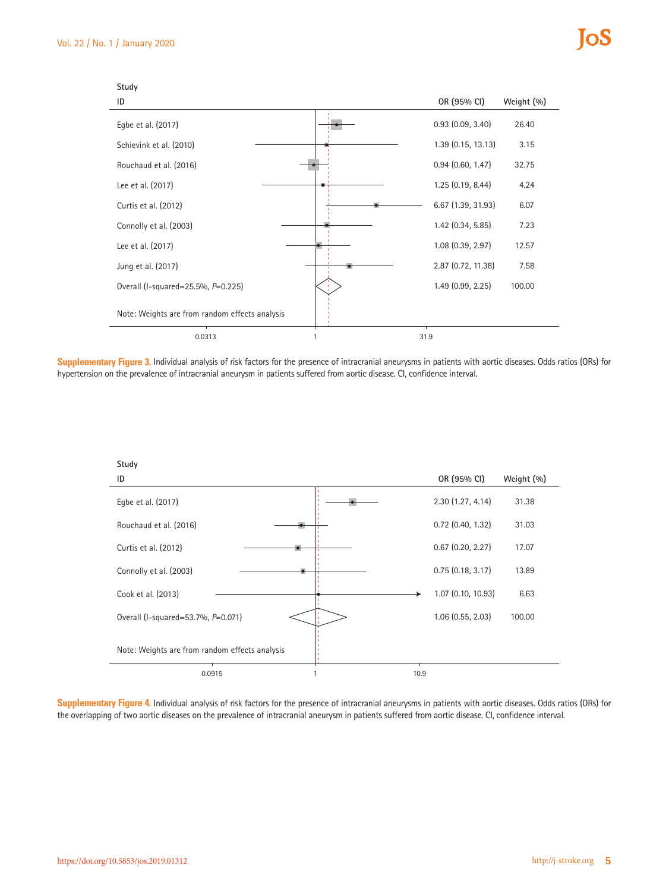

**Supplementary Figure 3.** Individual analysis of risk factors for the presence of intracranial aneurysms in patients with aortic diseases. Odds ratios (ORs) for hypertension on the prevalence of intracranial aneurysm in patients suffered from aortic disease. CI, confidence interval.



**Supplementary Figure 4.** Individual analysis of risk factors for the presence of intracranial aneurysms in patients with aortic diseases. Odds ratios (ORs) for the overlapping of two aortic diseases on the prevalence of intracranial aneurysm in patients suffered from aortic disease. CI, confidence interval.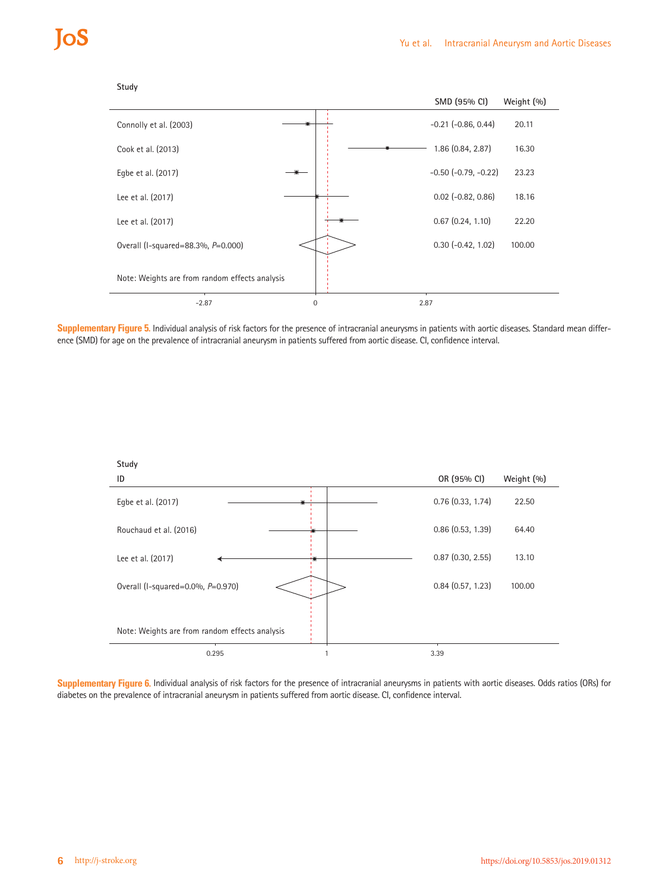



**Supplementary Figure 5.** Individual analysis of risk factors for the presence of intracranial aneurysms in patients with aortic diseases. Standard mean difference (SMD) for age on the prevalence of intracranial aneurysm in patients suffered from aortic disease. CI, confidence interval.



**Supplementary Figure 6.** Individual analysis of risk factors for the presence of intracranial aneurysms in patients with aortic diseases. Odds ratios (ORs) for diabetes on the prevalence of intracranial aneurysm in patients suffered from aortic disease. CI, confidence interval.